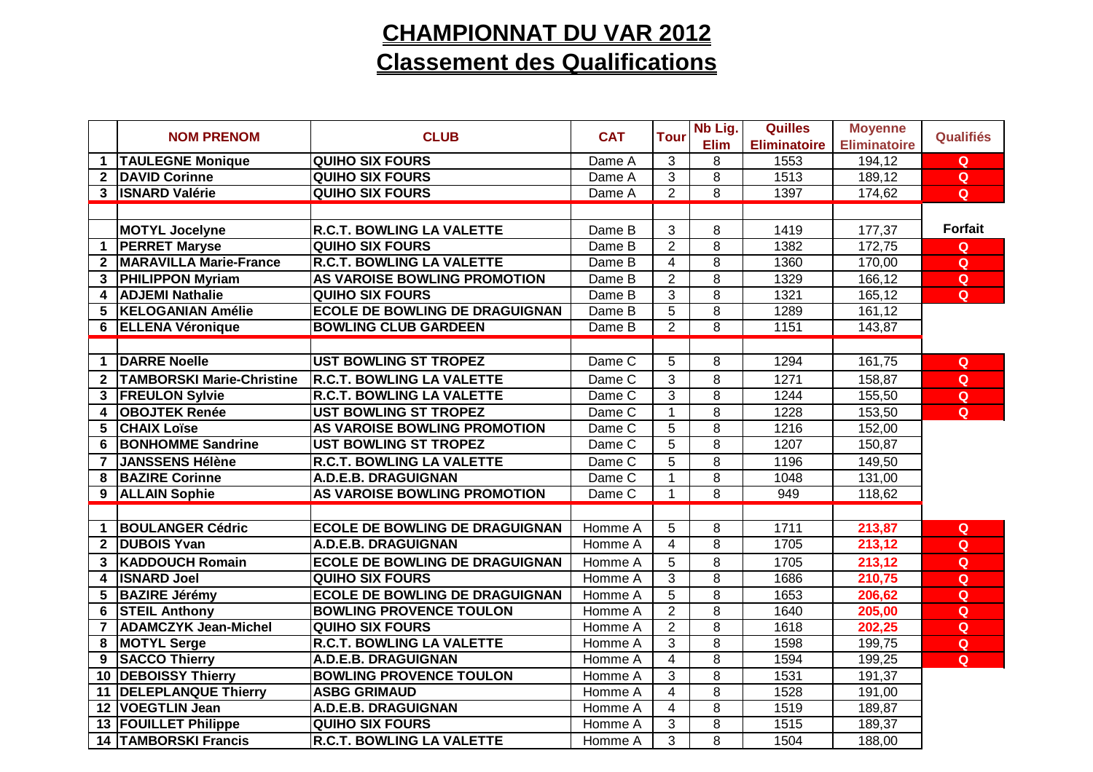### **CHAMPIONNAT DU VAR 2012Classement des Qualifications**

|                         | <b>NOM PRENOM</b>                | <b>CLUB</b>                           | <b>CAT</b> | <b>Tour</b>    | Nb Lig.        | Quilles             | <b>Moyenne</b>      | Qualifiés      |
|-------------------------|----------------------------------|---------------------------------------|------------|----------------|----------------|---------------------|---------------------|----------------|
|                         |                                  |                                       |            |                | <b>Elim</b>    | <b>Eliminatoire</b> | <b>Eliminatoire</b> |                |
| 1                       | <b>TAULEGNE Monique</b>          | <b>QUIHO SIX FOURS</b>                | Dame A     | 3              | 8              | 1553                | 194,12              | $\mathbf Q$    |
|                         | 2 DAVID Corinne                  | <b>QUIHO SIX FOURS</b>                | Dame A     | $\overline{3}$ | $\overline{8}$ | 1513                | 189,12              | Q              |
|                         | 3 <b>ISNARD Valérie</b>          | <b>QUIHO SIX FOURS</b>                | Dame A     | $\overline{2}$ | $\overline{8}$ | 1397                | 174,62              | Q              |
|                         |                                  |                                       |            |                |                |                     |                     |                |
|                         | <b>MOTYL Jocelyne</b>            | <b>R.C.T. BOWLING LA VALETTE</b>      | Dame B     | 3              | 8              | 1419                | 177,37              | <b>Forfait</b> |
| $\mathbf 1$             | <b>PERRET Maryse</b>             | <b>QUIHO SIX FOURS</b>                | Dame B     | $\overline{2}$ | 8              | 1382                | 172,75              | $\mathbf Q$    |
| $\mathbf{2}$            | <b>MARAVILLA Marie-France</b>    | <b>R.C.T. BOWLING LA VALETTE</b>      | Dame B     | 4              | $\overline{8}$ | 1360                | 170,00              | $\mathbf Q$    |
| $3^{\circ}$             | <b>PHILIPPON Myriam</b>          | AS VAROISE BOWLING PROMOTION          | Dame B     | $\overline{2}$ | $\overline{8}$ | 1329                | 166,12              | Q              |
|                         | 4 ADJEMI Nathalie                | <b>QUIHO SIX FOURS</b>                | Dame B     | 3              | $\overline{8}$ | 1321                | 165,12              | Q              |
| $5^{\circ}$             | <b>KELOGANIAN Amélie</b>         | <b>ECOLE DE BOWLING DE DRAGUIGNAN</b> | Dame B     | $\overline{5}$ | $\overline{8}$ | 1289                | 161,12              |                |
|                         | 6 ELLENA Véronique               | <b>BOWLING CLUB GARDEEN</b>           | Dame B     | $\overline{2}$ | $\overline{8}$ | 1151                | 143,87              |                |
|                         |                                  |                                       |            |                |                |                     |                     |                |
| $\mathbf 1$             | <b>DARRE Noelle</b>              | <b>UST BOWLING ST TROPEZ</b>          | Dame C     | 5              | 8              | 1294                | 161,75              | Q              |
| $2^{\circ}$             | <b>TAMBORSKI Marie-Christine</b> | <b>R.C.T. BOWLING LA VALETTE</b>      | Dame C     | 3              | 8              | 1271                | 158,87              | $\mathbf Q$    |
|                         | 3 FREULON Sylvie                 | <b>R.C.T. BOWLING LA VALETTE</b>      | Dame C     | 3              | $\overline{8}$ | 1244                | 155,50              | $\mathbf Q$    |
| $\overline{\mathbf{4}}$ | <b>OBOJTEK Renée</b>             | <b>UST BOWLING ST TROPEZ</b>          | Dame C     | $\overline{1}$ | 8              | 1228                | 153,50              | Q              |
| 5                       | <b>CHAIX Loïse</b>               | AS VAROISE BOWLING PROMOTION          | Dame C     | 5              | $\overline{8}$ | 1216                | 152,00              |                |
| 6                       | <b>BONHOMME Sandrine</b>         | <b>UST BOWLING ST TROPEZ</b>          | Dame C     | $\overline{5}$ | $\overline{8}$ | 1207                | 150,87              |                |
| $\overline{7}$          | <b>JANSSENS Hélène</b>           | <b>R.C.T. BOWLING LA VALETTE</b>      | Dame C     | 5              | 8              | 1196                | 149,50              |                |
| 8                       | <b>BAZIRE Corinne</b>            | A.D.E.B. DRAGUIGNAN                   | Dame C     | 1              | 8              | 1048                | 131,00              |                |
|                         | 9 ALLAIN Sophie                  | AS VAROISE BOWLING PROMOTION          | Dame C     | 1              | $\overline{8}$ | 949                 | 118,62              |                |
|                         |                                  |                                       |            |                |                |                     |                     |                |
| 1.                      | <b>BOULANGER Cédric</b>          | <b>ECOLE DE BOWLING DE DRAGUIGNAN</b> | Homme A    | 5              | 8              | 1711                | 213,87              | $\mathbf Q$    |
| $\overline{2}$          | <b>DUBOIS Yvan</b>               | A.D.E.B. DRAGUIGNAN                   | Homme A    | 4              | $\overline{8}$ | 1705                | 213,12              | Q              |
| 3                       | <b>KADDOUCH Romain</b>           | <b>ECOLE DE BOWLING DE DRAGUIGNAN</b> | Homme A    | 5              | 8              | 1705                | 213,12              | Q              |
| 4                       | <b>ISNARD Joel</b>               | <b>QUIHO SIX FOURS</b>                | Homme A    | 3              | $\overline{8}$ | 1686                | 210,75              | Q              |
| 5                       | <b>BAZIRE Jérémy</b>             | <b>ECOLE DE BOWLING DE DRAGUIGNAN</b> | Homme A    | $\overline{5}$ | $\overline{8}$ | 1653                | 206,62              | Q              |
| 6                       | <b>STEIL Anthony</b>             | <b>BOWLING PROVENCE TOULON</b>        | Homme A    | $\overline{2}$ | $\overline{8}$ | 1640                | 205,00              | Q              |
| $\overline{7}$          | <b>ADAMCZYK Jean-Michel</b>      | <b>QUIHO SIX FOURS</b>                | Homme A    | $\overline{2}$ | $\overline{8}$ | 1618                | 202,25              | $\overline{Q}$ |
| 8                       | <b>MOTYL Serge</b>               | <b>R.C.T. BOWLING LA VALETTE</b>      | Homme A    | 3              | $\overline{8}$ | 1598                | 199,75              | Q              |
| 9                       | <b>SACCO Thierry</b>             | A.D.E.B. DRAGUIGNAN                   | Homme A    | 4              | 8              | 1594                | 199,25              | Q              |
|                         | 10 DEBOISSY Thierry              | <b>BOWLING PROVENCE TOULON</b>        | Homme A    | 3              | 8              | 1531                | 191,37              |                |
|                         | 11 DELEPLANQUE Thierry           | <b>ASBG GRIMAUD</b>                   | Homme A    | $\overline{4}$ | $\overline{8}$ | 1528                | 191,00              |                |
|                         | 12 VOEGTLIN Jean                 | A.D.E.B. DRAGUIGNAN                   | Homme A    | $\overline{4}$ | 8              | 1519                | 189,87              |                |
|                         | 13 FOUILLET Philippe             | <b>QUIHO SIX FOURS</b>                | Homme A    | 3              | 8              | 1515                | 189,37              |                |
|                         | <b>14 TAMBORSKI Francis</b>      | <b>R.C.T. BOWLING LA VALETTE</b>      | Homme A    | 3              | $\overline{8}$ | 1504                | 188,00              |                |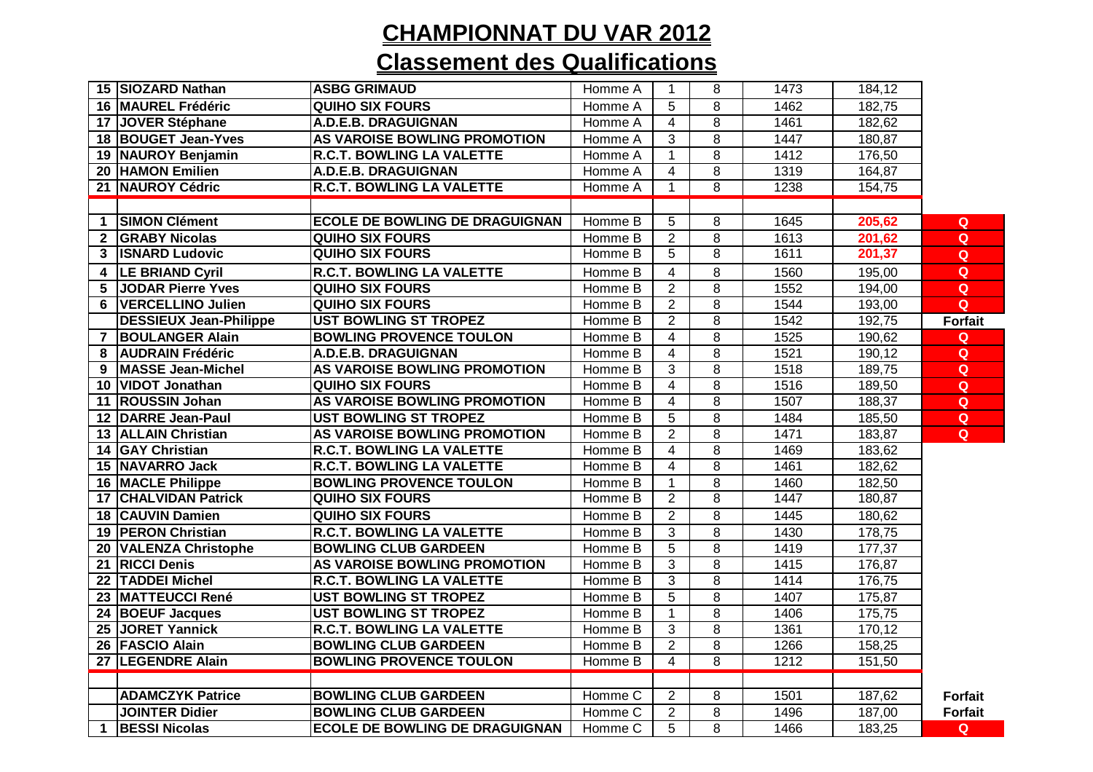# **CHAMPIONNAT DU VAR 2012**

### **Classement des Qualifications**

|                | 15 SIOZARD Nathan             | <b>ASBG GRIMAUD</b>                   | Homme A            | 1              | 8              | 1473 | 184,12 |                |
|----------------|-------------------------------|---------------------------------------|--------------------|----------------|----------------|------|--------|----------------|
|                | 16 MAUREL Frédéric            | <b>QUIHO SIX FOURS</b>                | Homme A            | 5              | 8              | 1462 | 182,75 |                |
|                | 17 JOVER Stéphane             | A.D.E.B. DRAGUIGNAN                   | Homme A            | $\overline{4}$ | $\overline{8}$ | 1461 | 182,62 |                |
|                | 18 BOUGET Jean-Yves           | AS VAROISE BOWLING PROMOTION          | Homme A            | 3              | 8              | 1447 | 180,87 |                |
|                | 19 NAUROY Benjamin            | <b>R.C.T. BOWLING LA VALETTE</b>      | Homme A            | $\mathbf{1}$   | $\overline{8}$ | 1412 | 176,50 |                |
|                | 20 HAMON Emilien              | A.D.E.B. DRAGUIGNAN                   | Homme A            | $\overline{4}$ | 8              | 1319 | 164,87 |                |
|                | 21 NAUROY Cédric              | <b>R.C.T. BOWLING LA VALETTE</b>      | Homme A            | $\mathbf{1}$   | $\overline{8}$ | 1238 | 154,75 |                |
|                |                               |                                       |                    |                |                |      |        |                |
| $\mathbf 1$    | <b>SIMON Clément</b>          | <b>ECOLE DE BOWLING DE DRAGUIGNAN</b> | Homme B            | 5              | 8              | 1645 | 205,62 | $\mathbf{Q}$   |
|                | 2 GRABY Nicolas               | <b>QUIHO SIX FOURS</b>                | Homme B            | $\overline{2}$ | $\overline{8}$ | 1613 | 201,62 | Q              |
|                | 3 <b>ISNARD Ludovic</b>       | <b>QUIHO SIX FOURS</b>                | Homme B            | $\overline{5}$ | $\overline{8}$ | 1611 | 201,37 | Q              |
|                | 4   LE BRIAND Cyril           | <b>R.C.T. BOWLING LA VALETTE</b>      | Homme B            | $\overline{4}$ | 8              | 1560 | 195,00 | Q              |
| 5              | <b>JODAR Pierre Yves</b>      | <b>QUIHO SIX FOURS</b>                | Homme B            | $\overline{2}$ | 8              | 1552 | 194,00 | $\mathbf Q$    |
|                | 6   VERCELLINO Julien         | <b>QUIHO SIX FOURS</b>                | Homme B            | $\overline{2}$ | $\, 8$         | 1544 | 193,00 | Q              |
|                | <b>DESSIEUX Jean-Philippe</b> | <b>UST BOWLING ST TROPEZ</b>          | Homme B            | $\overline{2}$ | $\, 8$         | 1542 | 192,75 | <b>Forfait</b> |
| $\overline{7}$ | <b>BOULANGER Alain</b>        | <b>BOWLING PROVENCE TOULON</b>        | Homme B            | $\overline{4}$ | $\overline{8}$ | 1525 | 190,62 | Q              |
|                | 8 AUDRAIN Frédéric            | A.D.E.B. DRAGUIGNAN                   | Homme B            | $\overline{4}$ | 8              | 1521 | 190,12 | Q              |
|                | 9 MASSE Jean-Michel           | AS VAROISE BOWLING PROMOTION          | Homme B            | $\overline{3}$ | $\overline{8}$ | 1518 | 189,75 | $\overline{Q}$ |
|                | 10 VIDOT Jonathan             | <b>QUIHO SIX FOURS</b>                | Homme B            | $\overline{4}$ | $\overline{8}$ | 1516 | 189,50 | $\mathbf Q$    |
|                | 11 ROUSSIN Johan              | AS VAROISE BOWLING PROMOTION          | Homme B            | $\overline{4}$ | $\, 8$         | 1507 | 188,37 | Q              |
|                | 12 DARRE Jean-Paul            | <b>UST BOWLING ST TROPEZ</b>          | Homme B            | $\overline{5}$ | $\overline{8}$ | 1484 | 185,50 | Q              |
|                | 13 ALLAIN Christian           | AS VAROISE BOWLING PROMOTION          | Homme B            | $\overline{2}$ | $\overline{8}$ | 1471 | 183,87 | $\overline{Q}$ |
|                | 14 GAY Christian              | <b>R.C.T. BOWLING LA VALETTE</b>      | Homme B            | $\overline{4}$ | $\, 8$         | 1469 | 183,62 |                |
|                | 15 NAVARRO Jack               | <b>R.C.T. BOWLING LA VALETTE</b>      | Homme B            | $\overline{4}$ | 8              | 1461 | 182,62 |                |
|                | 16 MACLE Philippe             | <b>BOWLING PROVENCE TOULON</b>        | Homme B            | $\mathbf{1}$   | $\, 8$         | 1460 | 182,50 |                |
|                | <b>17 CHALVIDAN Patrick</b>   | <b>QUIHO SIX FOURS</b>                | Homme B            | 2              | 8              | 1447 | 180,87 |                |
|                | 18 CAUVIN Damien              | <b>QUIHO SIX FOURS</b>                | Homme B            | $\overline{2}$ | 8              | 1445 | 180,62 |                |
|                | 19 PERON Christian            | R.C.T. BOWLING LA VALETTE             | Homme B            | 3              | 8              | 1430 | 178,75 |                |
|                | 20 VALENZA Christophe         | <b>BOWLING CLUB GARDEEN</b>           | Homme B            | $\overline{5}$ | $\overline{8}$ | 1419 | 177,37 |                |
|                | 21 RICCI Denis                | AS VAROISE BOWLING PROMOTION          | Homme B            | $\mathbf{3}$   | $\overline{8}$ | 1415 | 176,87 |                |
|                | 22 TADDEI Michel              | <b>R.C.T. BOWLING LA VALETTE</b>      | Homme B            | 3              | 8              | 1414 | 176,75 |                |
|                | 23 MATTEUCCI René             | <b>UST BOWLING ST TROPEZ</b>          | Homme B            | 5              | 8              | 1407 | 175,87 |                |
|                | 24 BOEUF Jacques              | <b>UST BOWLING ST TROPEZ</b>          | Homme B            | 1              | 8              | 1406 | 175,75 |                |
|                | 25 JORET Yannick              | <b>R.C.T. BOWLING LA VALETTE</b>      | Homme B            | 3              | 8              | 1361 | 170,12 |                |
|                | 26 FASCIO Alain               | <b>BOWLING CLUB GARDEEN</b>           | Homme B            | $\overline{2}$ | 8              | 1266 | 158,25 |                |
|                | 27 LEGENDRE Alain             | <b>BOWLING PROVENCE TOULON</b>        | Homme B            | 4              | $\overline{8}$ | 1212 | 151,50 |                |
|                |                               |                                       |                    |                |                |      |        |                |
|                | <b>ADAMCZYK Patrice</b>       | <b>BOWLING CLUB GARDEEN</b>           | Homme C            | 2              | 8              | 1501 | 187,62 | <b>Forfait</b> |
|                | <b>JOINTER Didier</b>         | <b>BOWLING CLUB GARDEEN</b>           | Homme C            | $\overline{2}$ | 8              | 1496 | 187,00 | <b>Forfait</b> |
| $\mathbf{1}$   | <b>BESSI Nicolas</b>          | <b>ECOLE DE BOWLING DE DRAGUIGNAN</b> | Homme <sub>C</sub> | 5              | 8              | 1466 | 183,25 | $\mathbf{Q}$   |